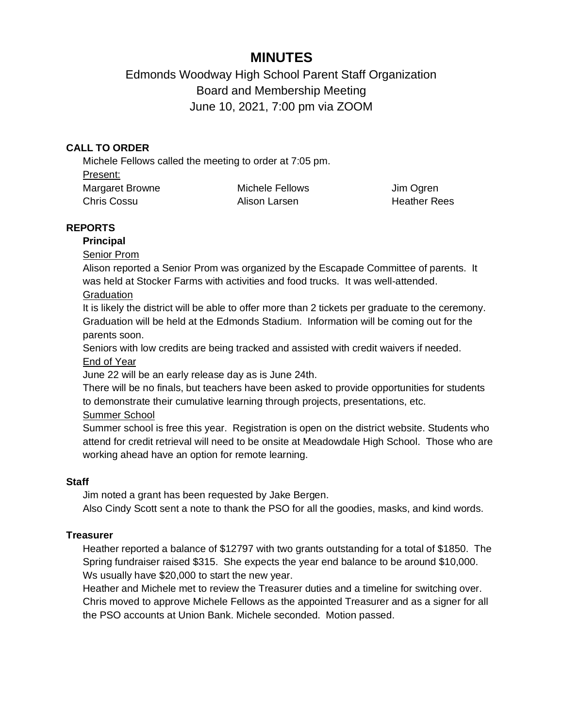# **MINUTES**

Edmonds Woodway High School Parent Staff Organization Board and Membership Meeting June 10, 2021, 7:00 pm via ZOOM

# **CALL TO ORDER**

Michele Fellows called the meeting to order at 7:05 pm. Present: Margaret Browne Chris Cossu Michele Fellows Alison Larsen

Jim Ogren Heather Rees

# **REPORTS**

## **Principal**

Senior Prom

Alison reported a Senior Prom was organized by the Escapade Committee of parents. It was held at Stocker Farms with activities and food trucks. It was well-attended.

## **Graduation**

It is likely the district will be able to offer more than 2 tickets per graduate to the ceremony. Graduation will be held at the Edmonds Stadium. Information will be coming out for the parents soon.

Seniors with low credits are being tracked and assisted with credit waivers if needed. End of Year

June 22 will be an early release day as is June 24th.

There will be no finals, but teachers have been asked to provide opportunities for students to demonstrate their cumulative learning through projects, presentations, etc.

Summer School

Summer school is free this year. Registration is open on the district website. Students who attend for credit retrieval will need to be onsite at Meadowdale High School. Those who are working ahead have an option for remote learning.

# **Staff**

Jim noted a grant has been requested by Jake Bergen.

Also Cindy Scott sent a note to thank the PSO for all the goodies, masks, and kind words.

# **Treasurer**

Heather reported a balance of \$12797 with two grants outstanding for a total of \$1850. The Spring fundraiser raised \$315. She expects the year end balance to be around \$10,000. Ws usually have \$20,000 to start the new year.

Heather and Michele met to review the Treasurer duties and a timeline for switching over. Chris moved to approve Michele Fellows as the appointed Treasurer and as a signer for all the PSO accounts at Union Bank. Michele seconded. Motion passed.